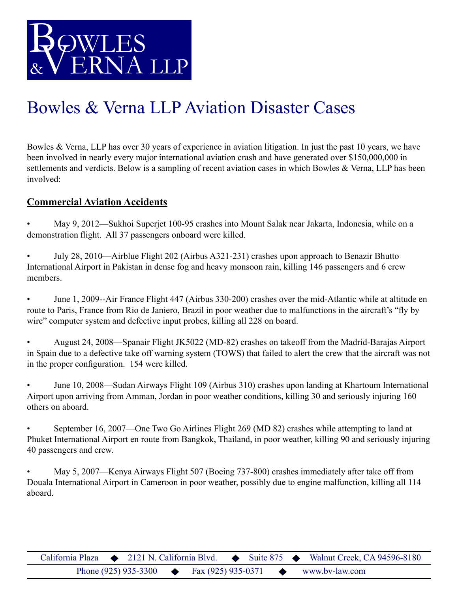

## Bowles & Verna LLP Aviation Disaster Cases

Bowles & Verna, LLP has over 30 years of experience in aviation litigation. In just the past 10 years, we have been involved in nearly every major international aviation crash and have generated over \$150,000,000 in settlements and verdicts. Below is a sampling of recent aviation cases in which Bowles & Verna, LLP has been involved:

## **Commercial Aviation Accidents**

- May 9, 2012—Sukhoi Superjet 100-95 crashes into Mount Salak near Jakarta, Indonesia, while on a demonstration flight. All 37 passengers onboard were killed.
- July 28, 2010—Airblue Flight 202 (Airbus A321-231) crashes upon approach to Benazir Bhutto International Airport in Pakistan in dense fog and heavy monsoon rain, killing 146 passengers and 6 crew members.
- June 1, 2009--Air France Flight 447 (Airbus 330-200) crashes over the mid-Atlantic while at altitude en route to Paris, France from Rio de Janiero, Brazil in poor weather due to malfunctions in the aircraft's "fly by wire" computer system and defective input probes, killing all 228 on board.
- August 24, 2008—Spanair Flight JK5022 (MD-82) crashes on takeoff from the Madrid-Barajas Airport in Spain due to a defective take off warning system (TOWS) that failed to alert the crew that the aircraft was not in the proper configuration. 154 were killed.
- June 10, 2008—Sudan Airways Flight 109 (Airbus 310) crashes upon landing at Khartoum International Airport upon arriving from Amman, Jordan in poor weather conditions, killing 30 and seriously injuring 160 others on aboard.
- September 16, 2007—One Two Go Airlines Flight 269 (MD 82) crashes while attempting to land at Phuket International Airport en route from Bangkok, Thailand, in poor weather, killing 90 and seriously injuring 40 passengers and crew.
- May 5, 2007—Kenya Airways Flight 507 (Boeing 737-800) crashes immediately after take off from Douala International Airport in Cameroon in poor weather, possibly due to engine malfunction, killing all 114 aboard.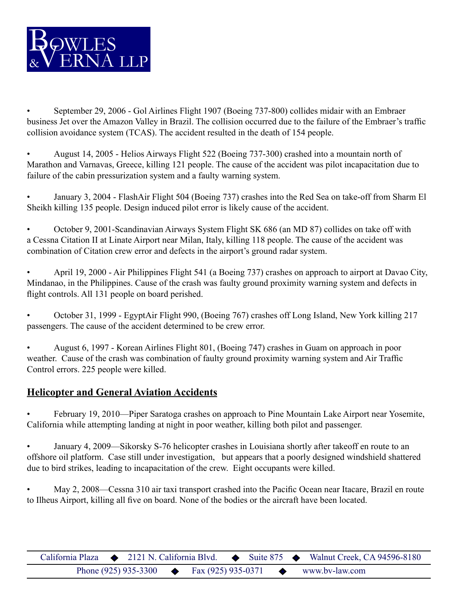

• September 29, 2006 - Gol Airlines Flight 1907 (Boeing 737-800) collides midair with an Embraer business Jet over the Amazon Valley in Brazil. The collision occurred due to the failure of the Embraer's traffic collision avoidance system (TCAS). The accident resulted in the death of 154 people.

• August 14, 2005 - Helios Airways Flight 522 (Boeing 737-300) crashed into a mountain north of Marathon and Varnavas, Greece, killing 121 people. The cause of the accident was pilot incapacitation due to failure of the cabin pressurization system and a faulty warning system.

• January 3, 2004 - FlashAir Flight 504 (Boeing 737) crashes into the Red Sea on take-off from Sharm El Sheikh killing 135 people. Design induced pilot error is likely cause of the accident.

• October 9, 2001-Scandinavian Airways System Flight SK 686 (an MD 87) collides on take off with a Cessna Citation II at Linate Airport near Milan, Italy, killing 118 people. The cause of the accident was combination of Citation crew error and defects in the airport's ground radar system.

• April 19, 2000 - Air Philippines Flight 541 (a Boeing 737) crashes on approach to airport at Davao City, Mindanao, in the Philippines. Cause of the crash was faulty ground proximity warning system and defects in flight controls. All 131 people on board perished.

• October 31, 1999 - EgyptAir Flight 990, (Boeing 767) crashes off Long Island, New York killing 217 passengers. The cause of the accident determined to be crew error.

• August 6, 1997 - Korean Airlines Flight 801, (Boeing 747) crashes in Guam on approach in poor weather. Cause of the crash was combination of faulty ground proximity warning system and Air Traffic Control errors. 225 people were killed.

## **Helicopter and General Aviation Accidents**

• February 19, 2010—Piper Saratoga crashes on approach to Pine Mountain Lake Airport near Yosemite, California while attempting landing at night in poor weather, killing both pilot and passenger.

• January 4, 2009—Sikorsky S-76 helicopter crashes in Louisiana shortly after takeoff en route to an offshore oil platform. Case still under investigation, but appears that a poorly designed windshield shattered due to bird strikes, leading to incapacitation of the crew. Eight occupants were killed.

• May 2, 2008—Cessna 310 air taxi transport crashed into the Pacific Ocean near Itacare, Brazil en route to Ilheus Airport, killing all five on board. None of the bodies or the aircraft have been located.